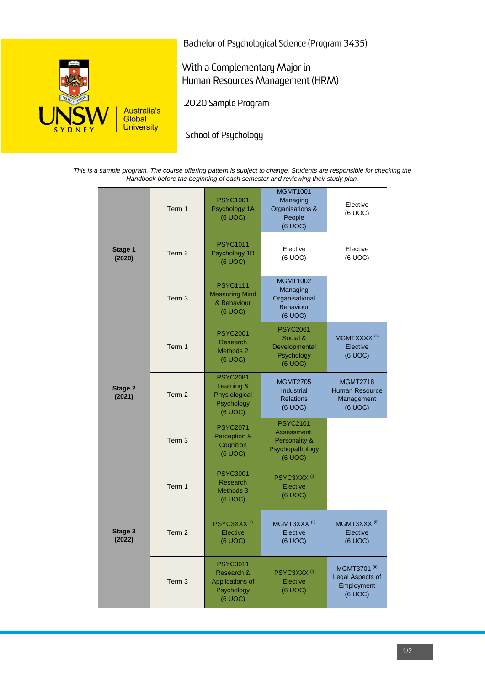

Bachelor of Psychological Science (Program 3435)

With a Complementary Major in Human Resources Management (HRM)

2020 Sample Program

School of Psychology

*This is a sample program. The course offering pattern is subject to change. Students are responsible for checking the Handbook before the beginning of each semester and reviewing their study plan.*

|                   | Term 1            | <b>PSYC1001</b><br>Psychology 1A<br>(6 UOC)                               | <b>MGMT1001</b><br>Managing<br>Organisations &<br>People<br>(6 UOC)           | Elective<br>(6 UOC)                                               |
|-------------------|-------------------|---------------------------------------------------------------------------|-------------------------------------------------------------------------------|-------------------------------------------------------------------|
| Stage 1<br>(2020) | Term 2            | <b>PSYC1011</b><br>Psychology 1B<br>(6 UOC)                               | Elective<br>(6 UOC)                                                           | Elective<br>(6 UOC)                                               |
|                   | Term <sub>3</sub> | <b>PSYC1111</b><br><b>Measuring Mind</b><br>& Behaviour<br>(6 UOC)        | <b>MGMT1002</b><br>Managing<br>Organisational<br><b>Behaviour</b><br>(6 UOC)  |                                                                   |
| Stage 2<br>(2021) | Term 1            | <b>PSYC2001</b><br>Research<br>Methods <sub>2</sub><br>(6 UOC)            | <b>PSYC2061</b><br>Social &<br>Developmental<br>Psychology<br>(6 UOC)         | MGMTXXXX <sup>(ii)</sup><br>Elective<br>(6 UOC)                   |
|                   | Term 2            | <b>PSYC2081</b><br>Learning &<br>Physiological<br>Psychology<br>(6 UOC)   | <b>MGMT2705</b><br><b>Industrial</b><br><b>Relations</b><br>(6 UOC)           | <b>MGMT2718</b><br><b>Human Resource</b><br>Management<br>(6 UOC) |
|                   | Term <sub>3</sub> | <b>PSYC2071</b><br>Perception &<br>Cognition<br>(6 UOC)                   | <b>PSYC2101</b><br>Assessment,<br>Personality &<br>Psychopathology<br>(6 UOC) |                                                                   |
| Stage 3<br>(2022) | Term 1            | <b>PSYC3001</b><br>Research<br>Methods 3<br>(6 UOC)                       | PSYC3XXX <sup>(i)</sup><br>Elective<br>(6 UOC)                                |                                                                   |
|                   | Term 2            | PSYC3XXX <sup>(i)</sup><br>Elective<br>(6 UOC)                            | MGMT3XXX <sup>(ii)</sup><br>Elective<br>(6 UOC)                               | MGMT3XXX <sup>(ii)</sup><br>Elective<br>(6 UOC)                   |
|                   | Term <sub>3</sub> | <b>PSYC3011</b><br>Research &<br>Applications of<br>Psychology<br>(6 UOC) | PSYC3XXX <sup>(i)</sup><br>Elective<br>(6 UOC)                                | <b>MGMT3701</b> (ii)<br>Legal Aspects of<br>Employment<br>(6 UOC) |